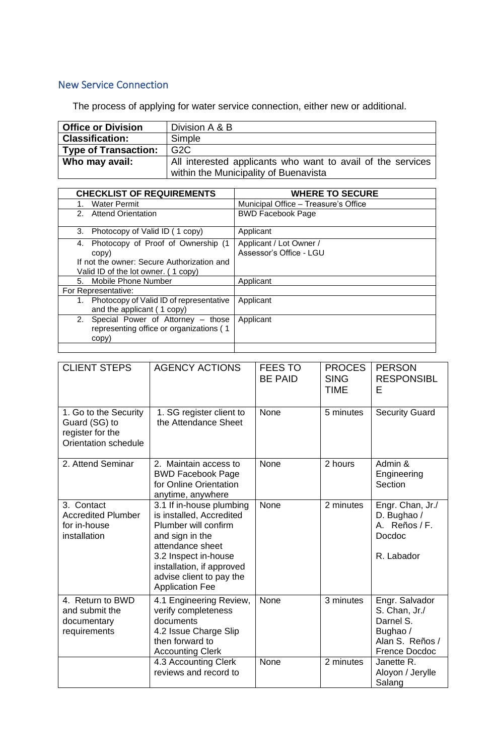## New Service Connection

The process of applying for water service connection, either new or additional.

| <b>Office or Division</b> | Division A & B                                              |
|---------------------------|-------------------------------------------------------------|
| <b>Classification:</b>    | Simple                                                      |
| Type of Transaction:      | G <sub>2</sub> C                                            |
| Who may avail:            | All interested applicants who want to avail of the services |
|                           | within the Municipality of Buenavista                       |

| <b>CHECKLIST OF REQUIREMENTS</b>              | <b>WHERE TO SECURE</b>               |  |  |
|-----------------------------------------------|--------------------------------------|--|--|
| <b>Water Permit</b>                           | Municipal Office - Treasure's Office |  |  |
| 2. Attend Orientation                         | <b>BWD Facebook Page</b>             |  |  |
| Photocopy of Valid ID (1 copy)<br>3.          | Applicant                            |  |  |
| Photocopy of Proof of Ownership (1<br>4.      | Applicant / Lot Owner /              |  |  |
| copy)                                         | Assessor's Office - LGU              |  |  |
| If not the owner: Secure Authorization and    |                                      |  |  |
| Valid ID of the lot owner. (1 copy)           |                                      |  |  |
| Mobile Phone Number<br>5.                     | Applicant                            |  |  |
| For Representative:                           |                                      |  |  |
| Photocopy of Valid ID of representative<br>1. | Applicant                            |  |  |
| and the applicant (1 copy)                    |                                      |  |  |
| Special Power of Attorney – those<br>2.       | Applicant                            |  |  |
| representing office or organizations (1       |                                      |  |  |
| copy)                                         |                                      |  |  |
|                                               |                                      |  |  |

| <b>CLIENT STEPS</b>                                                                | <b>AGENCY ACTIONS</b>                                                                                                                                                                                                          | <b>FEES TO</b><br><b>BE PAID</b> | <b>PROCES</b><br><b>SING</b><br><b>TIME</b> | <b>PERSON</b><br><b>RESPONSIBL</b><br>Е                                                             |
|------------------------------------------------------------------------------------|--------------------------------------------------------------------------------------------------------------------------------------------------------------------------------------------------------------------------------|----------------------------------|---------------------------------------------|-----------------------------------------------------------------------------------------------------|
| 1. Go to the Security<br>Guard (SG) to<br>register for the<br>Orientation schedule | 1. SG register client to<br>the Attendance Sheet                                                                                                                                                                               | None                             | 5 minutes                                   | <b>Security Guard</b>                                                                               |
| 2. Attend Seminar                                                                  | 2. Maintain access to<br><b>BWD Facebook Page</b><br>for Online Orientation<br>anytime, anywhere                                                                                                                               | None                             | 2 hours                                     | Admin &<br>Engineering<br>Section                                                                   |
| 3. Contact<br><b>Accredited Plumber</b><br>for in-house<br>installation            | 3.1 If in-house plumbing<br>is installed, Accredited<br>Plumber will confirm<br>and sign in the<br>attendance sheet<br>3.2 Inspect in-house<br>installation, if approved<br>advise client to pay the<br><b>Application Fee</b> | None                             | 2 minutes                                   | Engr. Chan, Jr./<br>D. Bughao /<br>A. Reños / F.<br>Docdoc<br>R. Labador                            |
| 4. Return to BWD<br>and submit the<br>documentary<br>requirements                  | 4.1 Engineering Review,<br>verify completeness<br>documents<br>4.2 Issue Charge Slip<br>then forward to<br><b>Accounting Clerk</b>                                                                                             | None                             | 3 minutes                                   | Engr. Salvador<br>S. Chan, Jr./<br>Darnel S.<br>Bughao /<br>Alan S. Reños /<br><b>Frence Docdoc</b> |
|                                                                                    | 4.3 Accounting Clerk<br>reviews and record to                                                                                                                                                                                  | None                             | 2 minutes                                   | Janette R.<br>Aloyon / Jerylle<br>Salang                                                            |